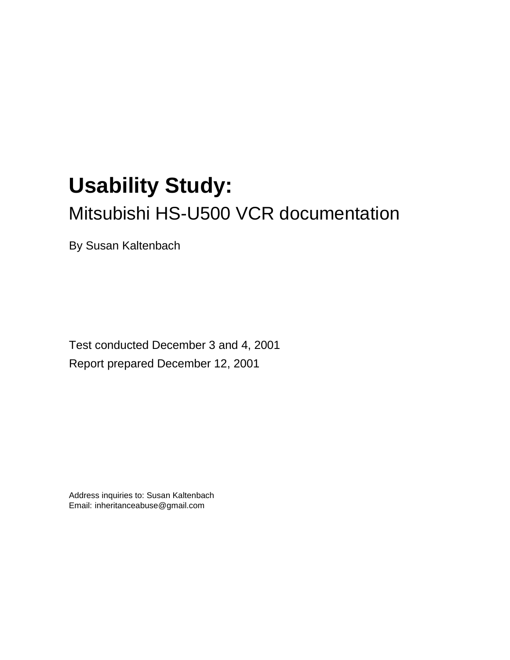# **Usability Study:** Mitsubishi HS-U500 VCR documentation

By Susan Kaltenbach

Test conducted December 3 and 4, 2001 Report prepared December 12, 2001

Address inquiries to: Susan Kaltenbach Email: inheritanceabuse@gmail.com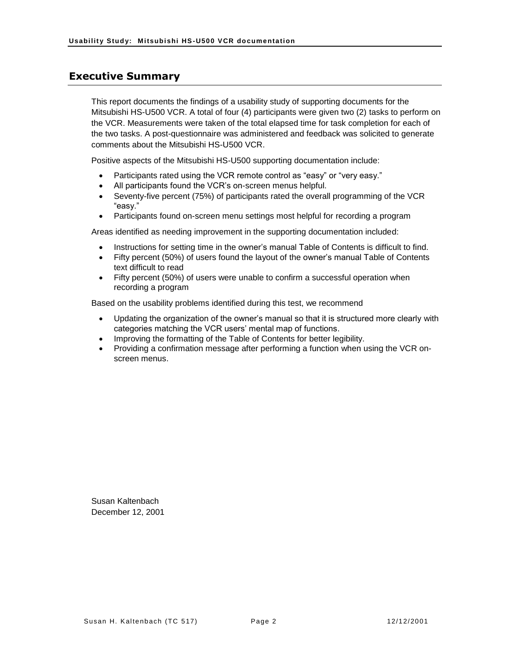#### <span id="page-1-0"></span>**Executive Summary**

This report documents the findings of a usability study of supporting documents for the Mitsubishi HS-U500 VCR. A total of four (4) participants were given two (2) tasks to perform on the VCR. Measurements were taken of the total elapsed time for task completion for each of the two tasks. A post-questionnaire was administered and feedback was solicited to generate comments about the Mitsubishi HS-U500 VCR.

Positive aspects of the Mitsubishi HS-U500 supporting documentation include:

- Participants rated using the VCR remote control as "easy" or "very easy."
- All participants found the VCR's on-screen menus helpful.
- Seventy-five percent (75%) of participants rated the overall programming of the VCR "easy."
- Participants found on-screen menu settings most helpful for recording a program

Areas identified as needing improvement in the supporting documentation included:

- Instructions for setting time in the owner's manual Table of Contents is difficult to find.
- Fifty percent (50%) of users found the layout of the owner's manual Table of Contents text difficult to read
- Fifty percent (50%) of users were unable to confirm a successful operation when recording a program

Based on the usability problems identified during this test, we recommend

- Updating the organization of the owner's manual so that it is structured more clearly with categories matching the VCR users' mental map of functions.
- Improving the formatting of the Table of Contents for better legibility.
- Providing a confirmation message after performing a function when using the VCR onscreen menus.

Susan Kaltenbach December 12, 2001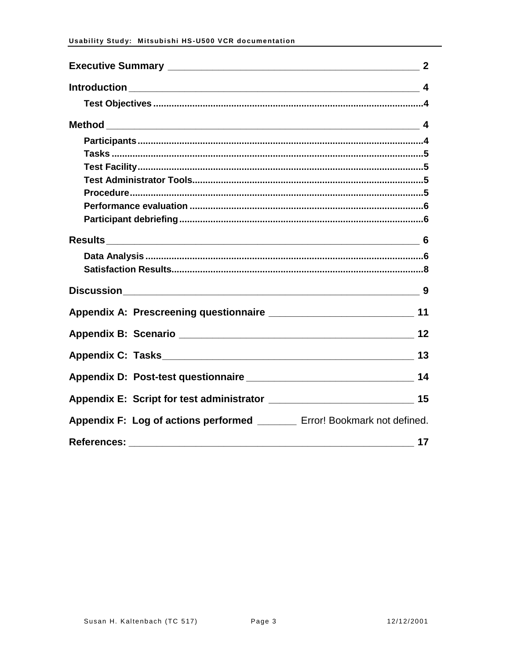| Appendix F: Log of actions performed _______ Error! Bookmark not defined. |    |
|---------------------------------------------------------------------------|----|
| References:                                                               | 17 |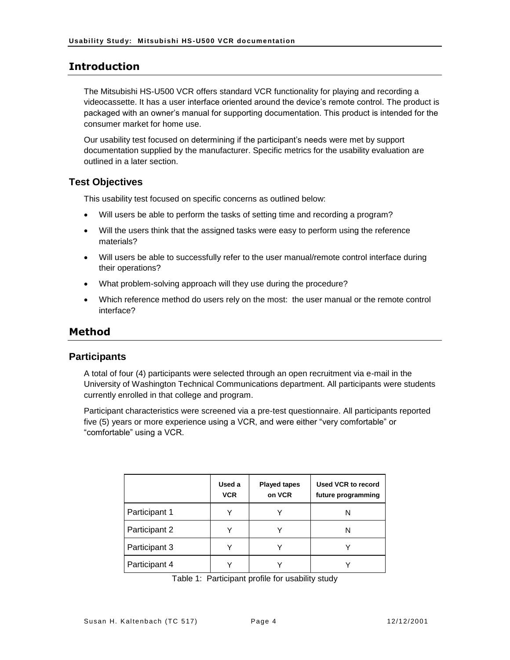#### <span id="page-3-0"></span>**Introduction**

The Mitsubishi HS-U500 VCR offers standard VCR functionality for playing and recording a videocassette. It has a user interface oriented around the device's remote control. The product is packaged with an owner's manual for supporting documentation. This product is intended for the consumer market for home use.

Our usability test focused on determining if the participant's needs were met by support documentation supplied by the manufacturer. Specific metrics for the usability evaluation are outlined in a later section.

#### <span id="page-3-1"></span>**Test Objectives**

This usability test focused on specific concerns as outlined below:

- Will users be able to perform the tasks of setting time and recording a program?
- Will the users think that the assigned tasks were easy to perform using the reference materials?
- Will users be able to successfully refer to the user manual/remote control interface during their operations?
- What problem-solving approach will they use during the procedure?
- Which reference method do users rely on the most: the user manual or the remote control interface?

#### <span id="page-3-2"></span>**Method**

#### <span id="page-3-3"></span>**Participants**

A total of four (4) participants were selected through an open recruitment via e-mail in the University of Washington Technical Communications department. All participants were students currently enrolled in that college and program.

Participant characteristics were screened via a pre-test questionnaire. All participants reported five (5) years or more experience using a VCR, and were either "very comfortable" or "comfortable" using a VCR.

|               | Used a<br><b>VCR</b> | <b>Played tapes</b><br>on VCR | <b>Used VCR to record</b><br>future programming |
|---------------|----------------------|-------------------------------|-------------------------------------------------|
| Participant 1 |                      |                               | N                                               |
| Participant 2 |                      |                               |                                                 |
| Participant 3 |                      |                               |                                                 |
| Participant 4 |                      |                               |                                                 |

Table 1: Participant profile for usability study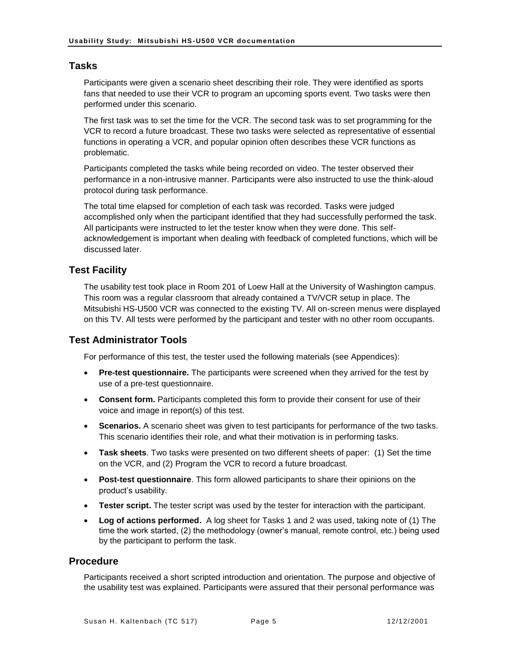#### <span id="page-4-0"></span>**Tasks**

Participants were given a scenario sheet describing their role. They were identified as sports fans that needed to use their VCR to program an upcoming sports event. Two tasks were then performed under this scenario.

The first task was to set the time for the VCR. The second task was to set programming for the VCR to record a future broadcast. These two tasks were selected as representative of essential functions in operating a VCR, and popular opinion often describes these VCR functions as problematic.

Participants completed the tasks while being recorded on video. The tester observed their performance in a non-intrusive manner. Participants were also instructed to use the think-aloud protocol during task performance.

The total time elapsed for completion of each task was recorded. Tasks were judged accomplished only when the participant identified that they had successfully performed the task. All participants were instructed to let the tester know when they were done. This selfacknowledgement is important when dealing with feedback of completed functions, which will be discussed later.

#### <span id="page-4-1"></span>**Test Facility**

The usability test took place in Room 201 of Loew Hall at the University of Washington campus. This room was a regular classroom that already contained a TV/VCR setup in place. The Mitsubishi HS-U500 VCR was connected to the existing TV. All on-screen menus were displayed on this TV. All tests were performed by the participant and tester with no other room occupants.

#### <span id="page-4-2"></span>**Test Administrator Tools**

For performance of this test, the tester used the following materials (see Appendices):

- **Pre-test questionnaire.** The participants were screened when they arrived for the test by use of a pre-test questionnaire.
- **Consent form.** Participants completed this form to provide their consent for use of their voice and image in report(s) of this test.
- **Scenarios.** A scenario sheet was given to test participants for performance of the two tasks. This scenario identifies their role, and what their motivation is in performing tasks.
- **Task sheets**. Two tasks were presented on two different sheets of paper: (1) Set the time on the VCR, and (2) Program the VCR to record a future broadcast.
- **Post-test questionnaire**. This form allowed participants to share their opinions on the product's usability.
- **Tester script.** The tester script was used by the tester for interaction with the participant.
- **Log of actions performed.** A log sheet for Tasks 1 and 2 was used, taking note of (1) The time the work started, (2) the methodology (owner's manual, remote control, etc.) being used by the participant to perform the task.

#### <span id="page-4-3"></span>**Procedure**

Participants received a short scripted introduction and orientation. The purpose and objective of the usability test was explained. Participants were assured that their personal performance was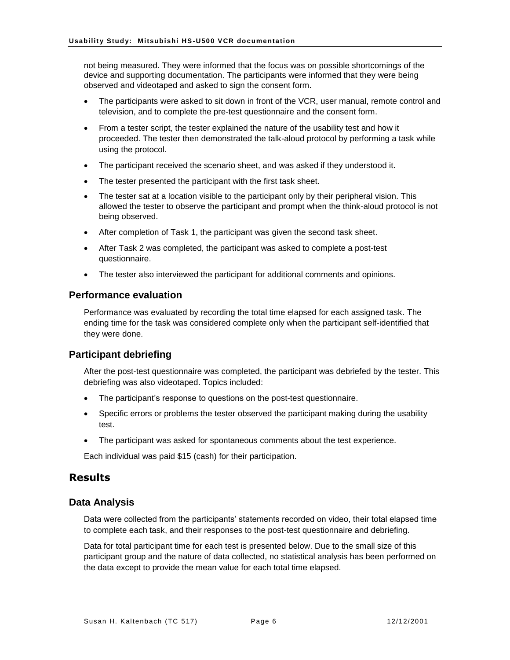not being measured. They were informed that the focus was on possible shortcomings of the device and supporting documentation. The participants were informed that they were being observed and videotaped and asked to sign the consent form.

- The participants were asked to sit down in front of the VCR, user manual, remote control and television, and to complete the pre-test questionnaire and the consent form.
- From a tester script, the tester explained the nature of the usability test and how it proceeded. The tester then demonstrated the talk-aloud protocol by performing a task while using the protocol.
- The participant received the scenario sheet, and was asked if they understood it.
- The tester presented the participant with the first task sheet.
- The tester sat at a location visible to the participant only by their peripheral vision. This allowed the tester to observe the participant and prompt when the think-aloud protocol is not being observed.
- After completion of Task 1, the participant was given the second task sheet.
- After Task 2 was completed, the participant was asked to complete a post-test questionnaire.
- The tester also interviewed the participant for additional comments and opinions.

#### <span id="page-5-0"></span>**Performance evaluation**

Performance was evaluated by recording the total time elapsed for each assigned task. The ending time for the task was considered complete only when the participant self-identified that they were done.

#### <span id="page-5-1"></span>**Participant debriefing**

After the post-test questionnaire was completed, the participant was debriefed by the tester. This debriefing was also videotaped. Topics included:

- The participant's response to questions on the post-test questionnaire.
- Specific errors or problems the tester observed the participant making during the usability test.
- The participant was asked for spontaneous comments about the test experience.

Each individual was paid \$15 (cash) for their participation.

#### <span id="page-5-2"></span>**Results**

#### <span id="page-5-3"></span>**Data Analysis**

Data were collected from the participants' statements recorded on video, their total elapsed time to complete each task, and their responses to the post-test questionnaire and debriefing.

Data for total participant time for each test is presented below. Due to the small size of this participant group and the nature of data collected, no statistical analysis has been performed on the data except to provide the mean value for each total time elapsed.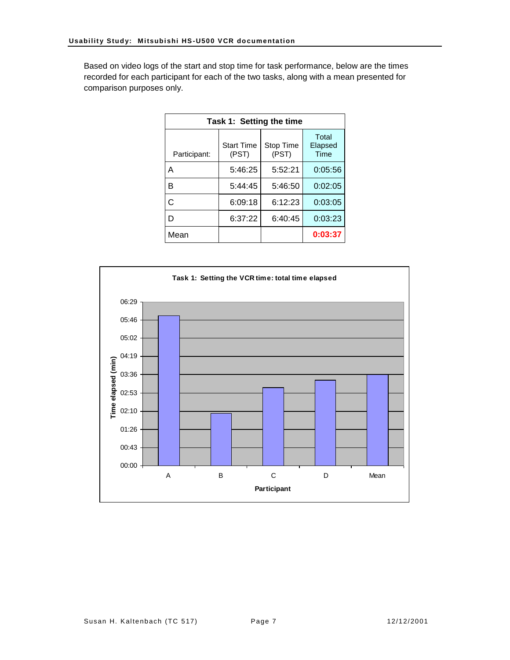Based on video logs of the start and stop time for task performance, below are the times recorded for each participant for each of the two tasks, along with a mean presented for comparison purposes only.

| Task 1: Setting the time |                            |                    |                          |  |  |  |
|--------------------------|----------------------------|--------------------|--------------------------|--|--|--|
| Participant:             | <b>Start Time</b><br>(PST) | Stop Time<br>(PST) | Total<br>Elapsed<br>Time |  |  |  |
| А                        | 5:46:25                    | 5:52:21            | 0:05:56                  |  |  |  |
| в                        | 5:44:45                    | 5:46:50            | 0:02:05                  |  |  |  |
| C                        | 6:09:18                    | 6:12:23            | 0:03:05                  |  |  |  |
| D                        | 6:37:22                    | 6:40:45            | 0:03:23                  |  |  |  |
| Mean                     |                            |                    | 0:03:37                  |  |  |  |

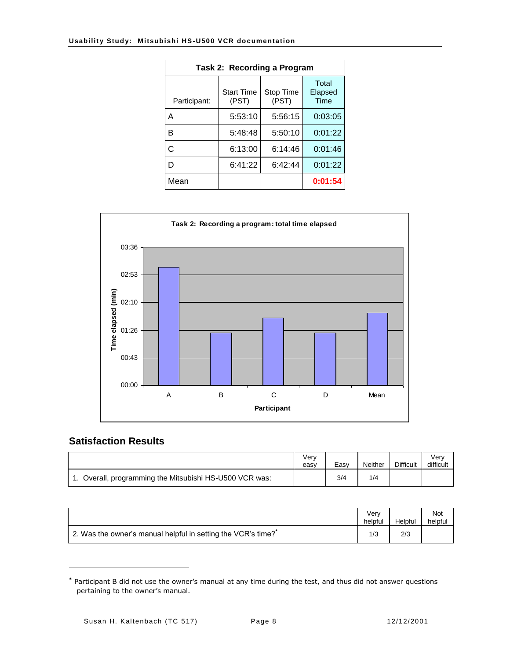| Task 2: Recording a Program |                            |                    |                          |  |  |  |  |
|-----------------------------|----------------------------|--------------------|--------------------------|--|--|--|--|
| Participant:                | <b>Start Time</b><br>(PST) | Stop Time<br>(PST) | Total<br>Elapsed<br>Time |  |  |  |  |
| А                           | 5:53:10                    | 5:56:15            | 0:03:05                  |  |  |  |  |
| R                           | 5:48:48                    | 5:50:10            | 0:01:22                  |  |  |  |  |
| C                           | 6:13:00                    | 6:14:46            | 0:01:46                  |  |  |  |  |
| D                           | 6:41:22                    | 6:42:44            | 0:01:22                  |  |  |  |  |
| Mean                        |                            |                    | 0:01:54                  |  |  |  |  |



#### <span id="page-7-0"></span>**Satisfaction Results**

 $\overline{a}$ 

|                                                      | Verv<br>easy | Easv | Neither | <b>Difficult</b> | Verv<br>difficult |
|------------------------------------------------------|--------------|------|---------|------------------|-------------------|
| Overall, programming the Mitsubishi HS-U500 VCR was: |              | 3/4  | 1/4     |                  |                   |

|                                                              | Verv<br>helpful | Helpful | Not<br>helpful |
|--------------------------------------------------------------|-----------------|---------|----------------|
| 2. Was the owner's manual helpful in setting the VCR's time? |                 | 2/3     |                |

**<sup>\*</sup>** Participant B did not use the owner's manual at any time during the test, and thus did not answer questions pertaining to the owner's manual.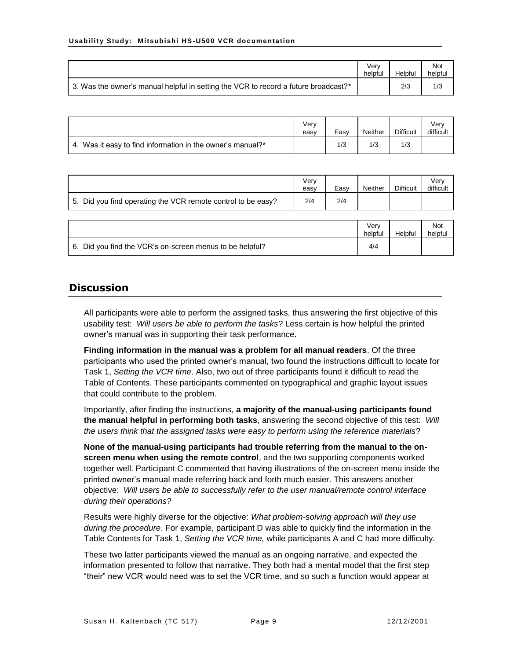|                                                                                     | Verv<br>helpful | Helpful | Not<br>helpful |
|-------------------------------------------------------------------------------------|-----------------|---------|----------------|
| 3. Was the owner's manual helpful in setting the VCR to record a future broadcast?* |                 | 2/3     | 1/3            |

|                                                            | Verv<br>easy | Easv | Neither | <b>Difficult</b> | Verv<br>difficult |
|------------------------------------------------------------|--------------|------|---------|------------------|-------------------|
| 4. Was it easy to find information in the owner's manual?* |              | 1/3  | 1/3     | 1/3              |                   |

|                                                              | Verv<br>easy | Easy | <b>Neither</b> | <b>Difficult</b> | Verv<br>difficult |
|--------------------------------------------------------------|--------------|------|----------------|------------------|-------------------|
| 5. Did you find operating the VCR remote control to be easy? | 2/4          | 2/4  |                |                  |                   |

|                                                          | Verv<br>helpful | Helpful | Not<br>helpful |
|----------------------------------------------------------|-----------------|---------|----------------|
| 6. Did you find the VCR's on-screen menus to be helpful? | 4/4             |         |                |

#### <span id="page-8-0"></span>**Discussion**

All participants were able to perform the assigned tasks, thus answering the first objective of this usability test: *Will users be able to perform the tasks*? Less certain is how helpful the printed owner's manual was in supporting their task performance.

**Finding information in the manual was a problem for all manual readers**. Of the three participants who used the printed owner's manual, two found the instructions difficult to locate for Task 1, *Setting the VCR time*. Also, two out of three participants found it difficult to read the Table of Contents. These participants commented on typographical and graphic layout issues that could contribute to the problem.

Importantly, after finding the instructions, **a majority of the manual-using participants found the manual helpful in performing both tasks**, answering the second objective of this test: *Will the users think that the assigned tasks were easy to perform using the reference materials*?

**None of the manual-using participants had trouble referring from the manual to the onscreen menu when using the remote control**, and the two supporting components worked together well. Participant C commented that having illustrations of the on-screen menu inside the printed owner's manual made referring back and forth much easier. This answers another objective: *Will users be able to successfully refer to the user manual/remote control interface during their operations?*

Results were highly diverse for the objective: *What problem-solving approach will they use during the procedure*. For example, participant D was able to quickly find the information in the Table Contents for Task 1, *Setting the VCR time,* while participants A and C had more difficulty.

These two latter participants viewed the manual as an ongoing narrative, and expected the information presented to follow that narrative. They both had a mental model that the first step "their" new VCR would need was to set the VCR time, and so such a function would appear at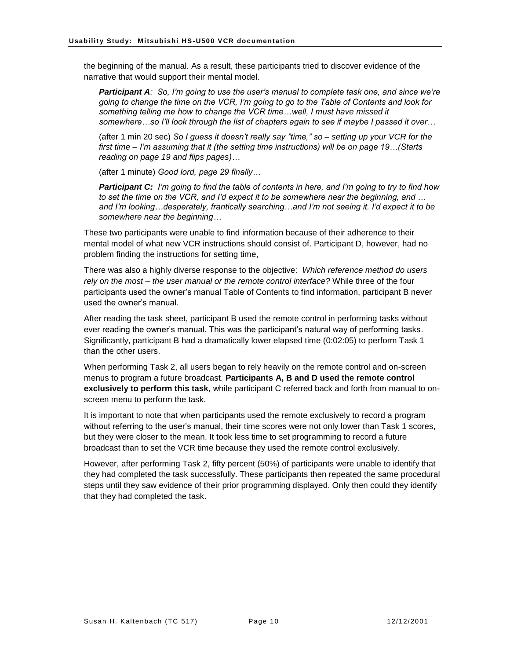the beginning of the manual. As a result, these participants tried to discover evidence of the narrative that would support their mental model.

*Participant A: So, I'm going to use the user's manual to complete task one, and since we're going to change the time on the VCR, I'm going to go to the Table of Contents and look for something telling me how to change the VCR time…well, I must have missed it somewhere…so I'll look through the list of chapters again to see if maybe I passed it over…*

(after 1 min 20 sec) *So I guess it doesn't really say "time," so – setting up your VCR for the first time – I'm assuming that it (the setting time instructions) will be on page 19…(Starts reading on page 19 and flips pages)…*

(after 1 minute) *Good lord, page 29 finally…*

*Participant C: I'm going to find the table of contents in here, and I'm going to try to find how to set the time on the VCR, and I'd expect it to be somewhere near the beginning, and … and I'm looking…desperately, frantically searching…and I'm not seeing it. I'd expect it to be somewhere near the beginning…*

These two participants were unable to find information because of their adherence to their mental model of what new VCR instructions should consist of. Participant D, however, had no problem finding the instructions for setting time,

There was also a highly diverse response to the objective: *Which reference method do users rely on the most – the user manual or the remote control interface?* While three of the four participants used the owner's manual Table of Contents to find information, participant B never used the owner's manual.

After reading the task sheet, participant B used the remote control in performing tasks without ever reading the owner's manual. This was the participant's natural way of performing tasks. Significantly, participant B had a dramatically lower elapsed time (0:02:05) to perform Task 1 than the other users.

When performing Task 2, all users began to rely heavily on the remote control and on-screen menus to program a future broadcast. **Participants A, B and D used the remote control exclusively to perform this task**, while participant C referred back and forth from manual to onscreen menu to perform the task.

It is important to note that when participants used the remote exclusively to record a program without referring to the user's manual, their time scores were not only lower than Task 1 scores, but they were closer to the mean. It took less time to set programming to record a future broadcast than to set the VCR time because they used the remote control exclusively.

However, after performing Task 2, fifty percent (50%) of participants were unable to identify that they had completed the task successfully. These participants then repeated the same procedural steps until they saw evidence of their prior programming displayed. Only then could they identify that they had completed the task.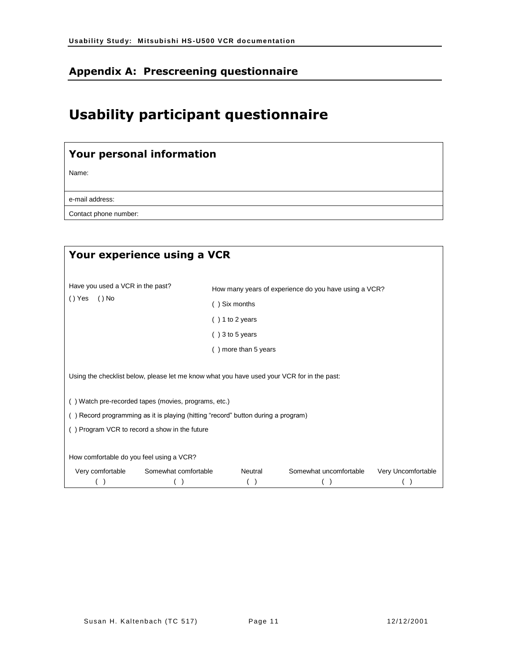# <span id="page-10-0"></span>**Appendix A: Prescreening questionnaire**

# **Usability participant questionnaire**

# **Your personal information**

Name:

e-mail address:

Contact phone number:

|                                          | Your experience using a VCR                                                                |                      |                                                       |                    |
|------------------------------------------|--------------------------------------------------------------------------------------------|----------------------|-------------------------------------------------------|--------------------|
| Have you used a VCR in the past?         |                                                                                            |                      | How many years of experience do you have using a VCR? |                    |
| $()$ Yes<br>( ) No                       |                                                                                            | () Six months        |                                                       |                    |
|                                          |                                                                                            | $( ) 1$ to 2 years   |                                                       |                    |
|                                          |                                                                                            | $( ) 3$ to 5 years   |                                                       |                    |
|                                          |                                                                                            | () more than 5 years |                                                       |                    |
|                                          | Using the checklist below, please let me know what you have used your VCR for in the past: |                      |                                                       |                    |
|                                          | () Watch pre-recorded tapes (movies, programs, etc.)                                       |                      |                                                       |                    |
|                                          | () Record programming as it is playing (hitting "record" button during a program)          |                      |                                                       |                    |
|                                          | () Program VCR to record a show in the future                                              |                      |                                                       |                    |
| How comfortable do you feel using a VCR? |                                                                                            |                      |                                                       |                    |
| Very comfortable                         | Somewhat comfortable                                                                       | Neutral              | Somewhat uncomfortable                                | Very Uncomfortable |
|                                          |                                                                                            |                      |                                                       |                    |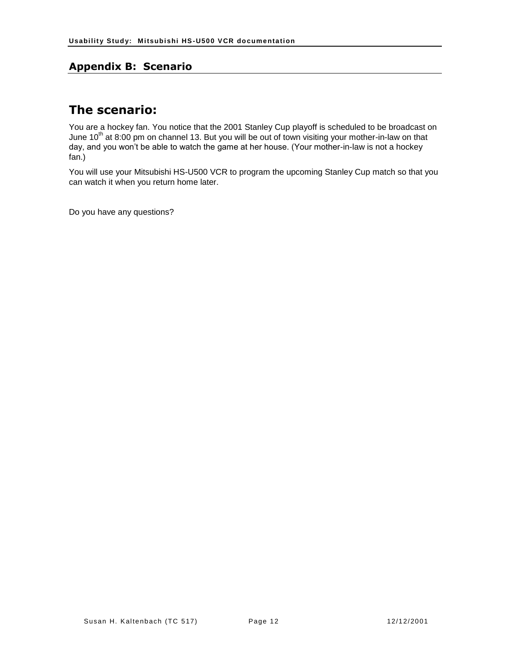#### <span id="page-11-0"></span>**Appendix B: Scenario**

# **The scenario:**

You are a hockey fan. You notice that the 2001 Stanley Cup playoff is scheduled to be broadcast on June 10<sup>th</sup> at 8:00 pm on channel 13. But you will be out of town visiting your mother-in-law on that day, and you won't be able to watch the game at her house. (Your mother-in-law is not a hockey fan.)

You will use your Mitsubishi HS-U500 VCR to program the upcoming Stanley Cup match so that you can watch it when you return home later.

Do you have any questions?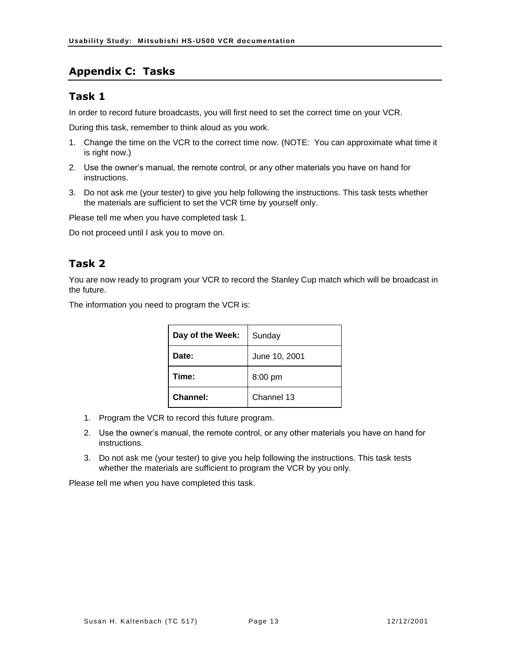## <span id="page-12-0"></span>**Appendix C: Tasks**

#### **Task 1**

In order to record future broadcasts, you will first need to set the correct time on your VCR.

During this task, remember to think aloud as you work.

- 1. Change the time on the VCR to the correct time now. (NOTE: You can approximate what time it is right now.)
- 2. Use the owner's manual, the remote control, or any other materials you have on hand for instructions.
- 3. Do not ask me (your tester) to give you help following the instructions. This task tests whether the materials are sufficient to set the VCR time by yourself only.

Please tell me when you have completed task 1.

Do not proceed until I ask you to move on.

# **Task 2**

You are now ready to program your VCR to record the Stanley Cup match which will be broadcast in the future.

The information you need to program the VCR is:

| Day of the Week: | Sunday        |
|------------------|---------------|
| Date:            | June 10, 2001 |
| Time:            | 8:00 pm       |
| Channel:         | Channel 13    |

- 1. Program the VCR to record this future program.
- 2. Use the owner's manual, the remote control, or any other materials you have on hand for instructions.
- 3. Do not ask me (your tester) to give you help following the instructions. This task tests whether the materials are sufficient to program the VCR by you only.

Please tell me when you have completed this task.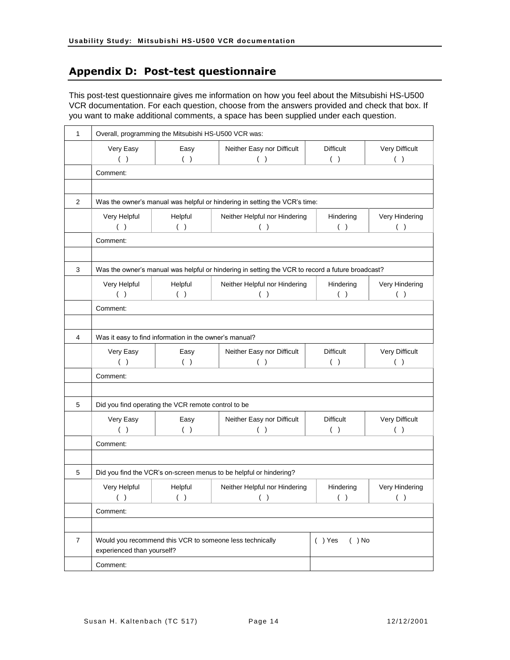# <span id="page-13-0"></span>**Appendix D: Post-test questionnaire**

This post-test questionnaire gives me information on how you feel about the Mitsubishi HS-U500 VCR documentation. For each question, choose from the answers provided and check that box. If you want to make additional comments, a space has been supplied under each question.

| $\mathbf{1}$   | Overall, programming the Mitsubishi HS-U500 VCR was:                                             |                |                                      |                         |                       |  |  |
|----------------|--------------------------------------------------------------------------------------------------|----------------|--------------------------------------|-------------------------|-----------------------|--|--|
|                | Very Easy<br>( )                                                                                 | Easy<br>( )    | Neither Easy nor Difficult<br>( )    | <b>Difficult</b><br>( ) | Very Difficult<br>( ) |  |  |
|                | Comment:                                                                                         |                |                                      |                         |                       |  |  |
|                |                                                                                                  |                |                                      |                         |                       |  |  |
| 2              | Was the owner's manual was helpful or hindering in setting the VCR's time:                       |                |                                      |                         |                       |  |  |
|                | Very Helpful<br>( )                                                                              | Helpful<br>( ) | Neither Helpful nor Hindering<br>( ) | Hindering<br>( )        | Very Hindering<br>( ) |  |  |
|                | Comment:                                                                                         |                |                                      |                         |                       |  |  |
|                |                                                                                                  |                |                                      |                         |                       |  |  |
| 3              | Was the owner's manual was helpful or hindering in setting the VCR to record a future broadcast? |                |                                      |                         |                       |  |  |
|                | Very Helpful<br>( )                                                                              | Helpful<br>( ) | Neither Helpful nor Hindering<br>( ) | Hindering<br>( )        | Very Hindering<br>( ) |  |  |
|                | Comment:                                                                                         |                |                                      |                         |                       |  |  |
|                |                                                                                                  |                |                                      |                         |                       |  |  |
| 4              | Was it easy to find information in the owner's manual?                                           |                |                                      |                         |                       |  |  |
|                | Very Easy<br>( )                                                                                 | Easy<br>( )    | Neither Easy nor Difficult<br>( )    | <b>Difficult</b><br>( ) | Very Difficult<br>( ) |  |  |
|                | Comment:                                                                                         |                |                                      |                         |                       |  |  |
|                |                                                                                                  |                |                                      |                         |                       |  |  |
| 5              | Did you find operating the VCR remote control to be                                              |                |                                      |                         |                       |  |  |
|                | Very Easy<br>( )                                                                                 | Easy<br>( )    | Neither Easy nor Difficult<br>( )    | <b>Difficult</b><br>( ) | Very Difficult<br>( ) |  |  |
|                | Comment:                                                                                         |                |                                      |                         |                       |  |  |
|                |                                                                                                  |                |                                      |                         |                       |  |  |
| 5              | Did you find the VCR's on-screen menus to be helpful or hindering?                               |                |                                      |                         |                       |  |  |
|                | Very Helpful<br>( )                                                                              | Helpful        | Neither Helpful nor Hindering        | Hindering<br>( )        | Very Hindering<br>( ) |  |  |
|                | Comment:                                                                                         |                |                                      |                         |                       |  |  |
|                |                                                                                                  |                |                                      |                         |                       |  |  |
| $\overline{7}$ | Would you recommend this VCR to someone less technically<br>experienced than yourself?           |                |                                      | $( )$ Yes<br>$( )$ No   |                       |  |  |
|                | Comment:                                                                                         |                |                                      |                         |                       |  |  |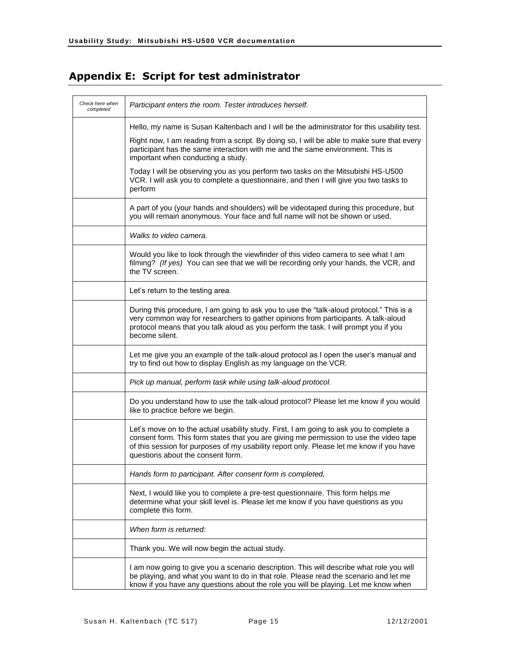# <span id="page-14-0"></span>**Appendix E: Script for test administrator**

| Check here when<br>completed | Participant enters the room. Tester introduces herself.                                                                                                                                                                                                                                                            |
|------------------------------|--------------------------------------------------------------------------------------------------------------------------------------------------------------------------------------------------------------------------------------------------------------------------------------------------------------------|
|                              | Hello, my name is Susan Kaltenbach and I will be the administrator for this usability test.                                                                                                                                                                                                                        |
|                              | Right now, I am reading from a script. By doing so, I will be able to make sure that every<br>participant has the same interaction with me and the same environment. This is<br>important when conducting a study.                                                                                                 |
|                              | Today I will be observing you as you perform two tasks on the Mitsubishi HS-U500<br>VCR. I will ask you to complete a questionnaire, and then I will give you two tasks to<br>perform                                                                                                                              |
|                              | A part of you (your hands and shoulders) will be videotaped during this procedure, but<br>you will remain anonymous. Your face and full name will not be shown or used.                                                                                                                                            |
|                              | Walks to video camera.                                                                                                                                                                                                                                                                                             |
|                              | Would you like to look through the viewfinder of this video camera to see what I am<br>filming? (If yes) You can see that we will be recording only your hands, the VCR, and<br>the TV screen.                                                                                                                     |
|                              | Let's return to the testing area.                                                                                                                                                                                                                                                                                  |
|                              | During this procedure, I am going to ask you to use the "talk-aloud protocol." This is a<br>very common way for researchers to gather opinions from participants. A talk-aloud<br>protocol means that you talk aloud as you perform the task. I will prompt you if you<br>become silent.                           |
|                              | Let me give you an example of the talk-aloud protocol as I open the user's manual and<br>try to find out how to display English as my language on the VCR.                                                                                                                                                         |
|                              | Pick up manual, perform task while using talk-aloud protocol.                                                                                                                                                                                                                                                      |
|                              | Do you understand how to use the talk-aloud protocol? Please let me know if you would<br>like to practice before we begin.                                                                                                                                                                                         |
|                              | Let's move on to the actual usability study. First, I am going to ask you to complete a<br>consent form. This form states that you are giving me permission to use the video tape<br>of this session for purposes of my usability report only. Please let me know if you have<br>questions about the consent form. |
|                              | Hands form to participant. After consent form is completed,                                                                                                                                                                                                                                                        |
|                              | Next, I would like you to complete a pre-test questionnaire. This form helps me<br>determine what your skill level is. Please let me know if you have questions as you<br>complete this form.                                                                                                                      |
|                              | When form is returned:                                                                                                                                                                                                                                                                                             |
|                              | Thank you. We will now begin the actual study.                                                                                                                                                                                                                                                                     |
|                              | I am now going to give you a scenario description. This will describe what role you will<br>be playing, and what you want to do in that role. Please read the scenario and let me<br>know if you have any questions about the role you will be playing. Let me know when                                           |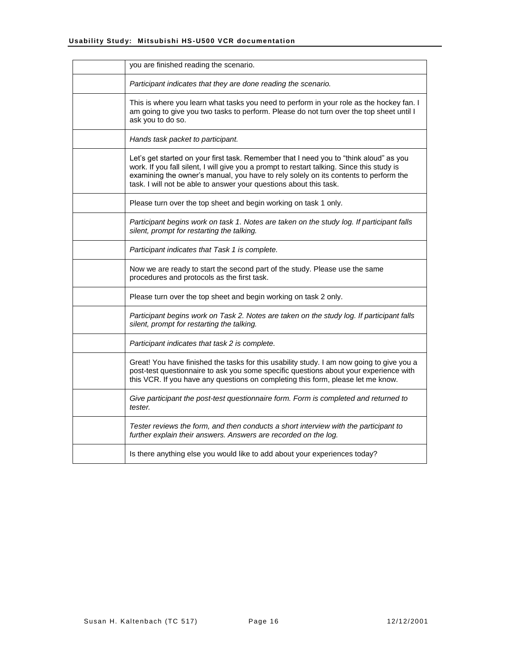| you are finished reading the scenario.                                                                                                                                                                                                                                                                                                             |
|----------------------------------------------------------------------------------------------------------------------------------------------------------------------------------------------------------------------------------------------------------------------------------------------------------------------------------------------------|
| Participant indicates that they are done reading the scenario.                                                                                                                                                                                                                                                                                     |
| This is where you learn what tasks you need to perform in your role as the hockey fan. I<br>am going to give you two tasks to perform. Please do not turn over the top sheet until I<br>ask you to do so.                                                                                                                                          |
| Hands task packet to participant.                                                                                                                                                                                                                                                                                                                  |
| Let's get started on your first task. Remember that I need you to "think aloud" as you<br>work. If you fall silent, I will give you a prompt to restart talking. Since this study is<br>examining the owner's manual, you have to rely solely on its contents to perform the<br>task. I will not be able to answer your questions about this task. |
| Please turn over the top sheet and begin working on task 1 only.                                                                                                                                                                                                                                                                                   |
| Participant begins work on task 1. Notes are taken on the study log. If participant falls<br>silent, prompt for restarting the talking.                                                                                                                                                                                                            |
| Participant indicates that Task 1 is complete.                                                                                                                                                                                                                                                                                                     |
| Now we are ready to start the second part of the study. Please use the same<br>procedures and protocols as the first task.                                                                                                                                                                                                                         |
| Please turn over the top sheet and begin working on task 2 only.                                                                                                                                                                                                                                                                                   |
| Participant begins work on Task 2. Notes are taken on the study log. If participant falls<br>silent, prompt for restarting the talking.                                                                                                                                                                                                            |
| Participant indicates that task 2 is complete.                                                                                                                                                                                                                                                                                                     |
| Great! You have finished the tasks for this usability study. I am now going to give you a<br>post-test questionnaire to ask you some specific questions about your experience with<br>this VCR. If you have any questions on completing this form, please let me know.                                                                             |
| Give participant the post-test questionnaire form. Form is completed and returned to<br>tester.                                                                                                                                                                                                                                                    |
| Tester reviews the form, and then conducts a short interview with the participant to<br>further explain their answers. Answers are recorded on the log.                                                                                                                                                                                            |
| Is there anything else you would like to add about your experiences today?                                                                                                                                                                                                                                                                         |